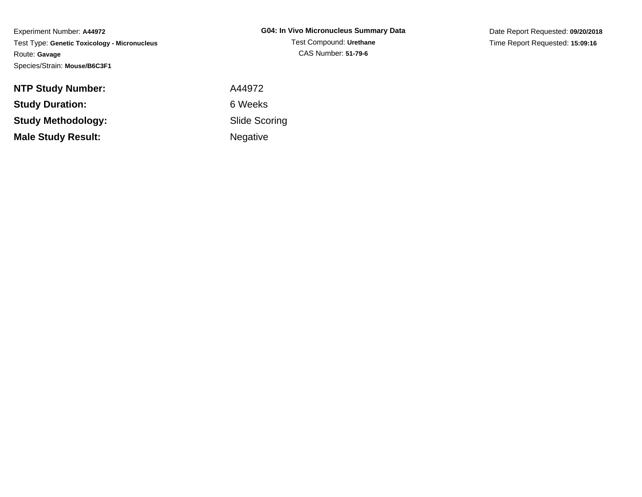Experiment Number: **A44972** Test Type: **Genetic Toxicology - Micronucleus**Route: **Gavage**Species/Strain: **Mouse/B6C3F1**

Date Report Requested: **09/20/2018**Time Report Requested: **15:09:16**

| A44972    |
|-----------|
| 6 Weeks   |
| Slide Sco |
| Negative  |
|           |

 Slide ScoringNegative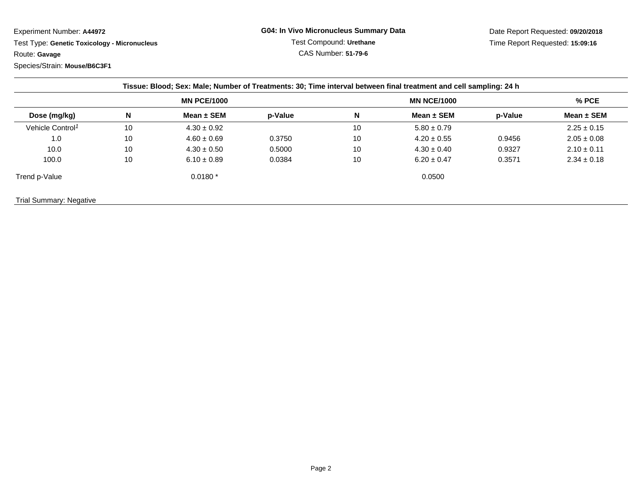Experiment Number: **A44972**

 Test Type: **Genetic Toxicology - Micronucleus**Route: **Gavage**

Species/Strain: **Mouse/B6C3F1**

| Dose (mg/kg)                 | <b>MN PCE/1000</b> |                 |         | <b>MN NCE/1000</b> |                 |         | $%$ PCE         |
|------------------------------|--------------------|-----------------|---------|--------------------|-----------------|---------|-----------------|
|                              | N                  | Mean $\pm$ SEM  | p-Value | N                  | Mean $\pm$ SEM  | p-Value | Mean $\pm$ SEM  |
| Vehicle Control <sup>1</sup> | 10                 | $4.30 \pm 0.92$ |         | 10                 | $5.80 \pm 0.79$ |         | $2.25 \pm 0.15$ |
| 1.0                          | 10                 | $4.60 \pm 0.69$ | 0.3750  | 10                 | $4.20 \pm 0.55$ | 0.9456  | $2.05 \pm 0.08$ |
| 10.0                         | 10                 | $4.30 \pm 0.50$ | 0.5000  | 10                 | $4.30 \pm 0.40$ | 0.9327  | $2.10 \pm 0.11$ |
| 100.0                        | 10                 | $6.10 \pm 0.89$ | 0.0384  | 10                 | $6.20 \pm 0.47$ | 0.3571  | $2.34 \pm 0.18$ |
| Trend p-Value                |                    | $0.0180*$       |         |                    | 0.0500          |         |                 |

Trial Summary: Negative